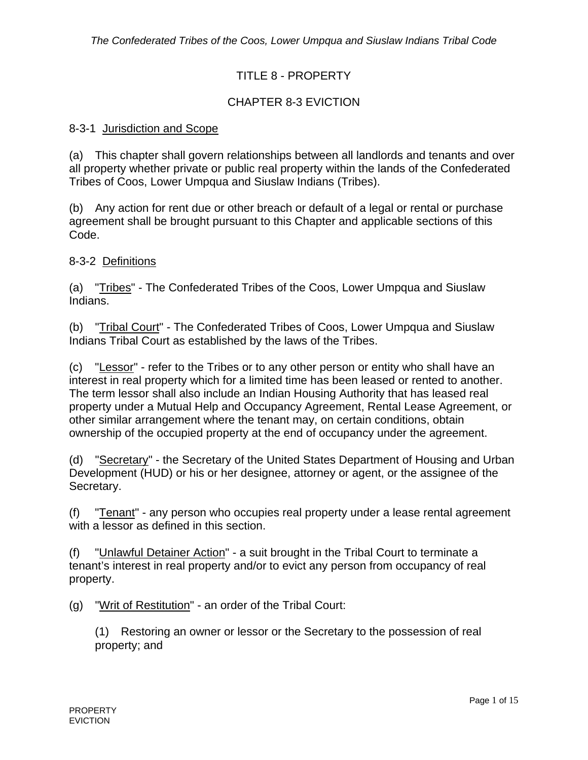# TITLE 8 - PROPERTY

# CHAPTER 8-3 EVICTION

### 8-3-1 Jurisdiction and Scope

(a) This chapter shall govern relationships between all landlords and tenants and over all property whether private or public real property within the lands of the Confederated Tribes of Coos, Lower Umpqua and Siuslaw Indians (Tribes).

(b) Any action for rent due or other breach or default of a legal or rental or purchase agreement shall be brought pursuant to this Chapter and applicable sections of this Code.

8-3-2 Definitions

(a) "Tribes" - The Confederated Tribes of the Coos, Lower Umpqua and Siuslaw Indians.

(b) "Tribal Court" - The Confederated Tribes of Coos, Lower Umpqua and Siuslaw Indians Tribal Court as established by the laws of the Tribes.

(c) "Lessor" - refer to the Tribes or to any other person or entity who shall have an interest in real property which for a limited time has been leased or rented to another. The term lessor shall also include an Indian Housing Authority that has leased real property under a Mutual Help and Occupancy Agreement, Rental Lease Agreement, or other similar arrangement where the tenant may, on certain conditions, obtain ownership of the occupied property at the end of occupancy under the agreement.

(d) "Secretary" - the Secretary of the United States Department of Housing and Urban Development (HUD) or his or her designee, attorney or agent, or the assignee of the Secretary.

(f) "Tenant" - any person who occupies real property under a lease rental agreement with a lessor as defined in this section.

(f) "Unlawful Detainer Action" - a suit brought in the Tribal Court to terminate a tenant's interest in real property and/or to evict any person from occupancy of real property.

(g) "Writ of Restitution" - an order of the Tribal Court:

(1) Restoring an owner or lessor or the Secretary to the possession of real property; and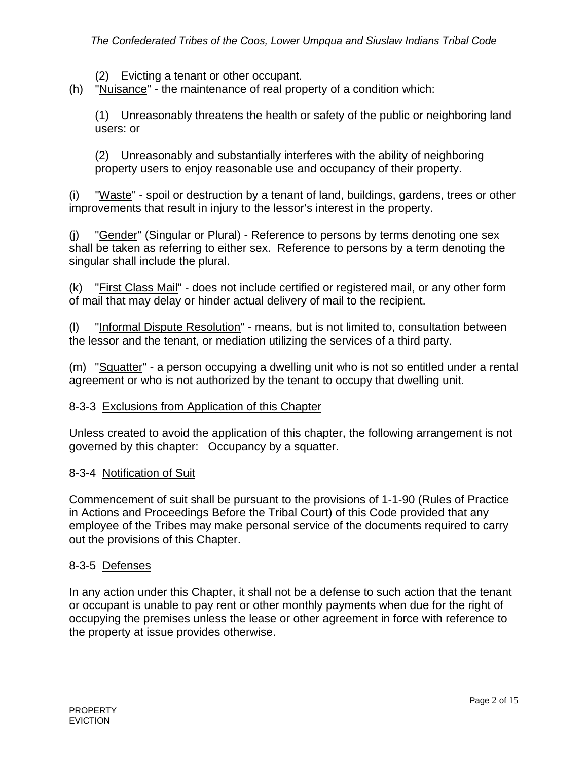(2) Evicting a tenant or other occupant.

(h) "Nuisance" - the maintenance of real property of a condition which:

(1) Unreasonably threatens the health or safety of the public or neighboring land users: or

(2) Unreasonably and substantially interferes with the ability of neighboring property users to enjoy reasonable use and occupancy of their property.

(i) "Waste" - spoil or destruction by a tenant of land, buildings, gardens, trees or other improvements that result in injury to the lessor's interest in the property.

(j) "Gender" (Singular or Plural) - Reference to persons by terms denoting one sex shall be taken as referring to either sex. Reference to persons by a term denoting the singular shall include the plural.

(k) "First Class Mail" - does not include certified or registered mail, or any other form of mail that may delay or hinder actual delivery of mail to the recipient.

(l) "Informal Dispute Resolution" - means, but is not limited to, consultation between the lessor and the tenant, or mediation utilizing the services of a third party.

(m) "Squatter" - a person occupying a dwelling unit who is not so entitled under a rental agreement or who is not authorized by the tenant to occupy that dwelling unit.

### 8-3-3 Exclusions from Application of this Chapter

Unless created to avoid the application of this chapter, the following arrangement is not governed by this chapter: Occupancy by a squatter.

#### 8-3-4 Notification of Suit

Commencement of suit shall be pursuant to the provisions of 1-1-90 (Rules of Practice in Actions and Proceedings Before the Tribal Court) of this Code provided that any employee of the Tribes may make personal service of the documents required to carry out the provisions of this Chapter.

#### 8-3-5 Defenses

In any action under this Chapter, it shall not be a defense to such action that the tenant or occupant is unable to pay rent or other monthly payments when due for the right of occupying the premises unless the lease or other agreement in force with reference to the property at issue provides otherwise.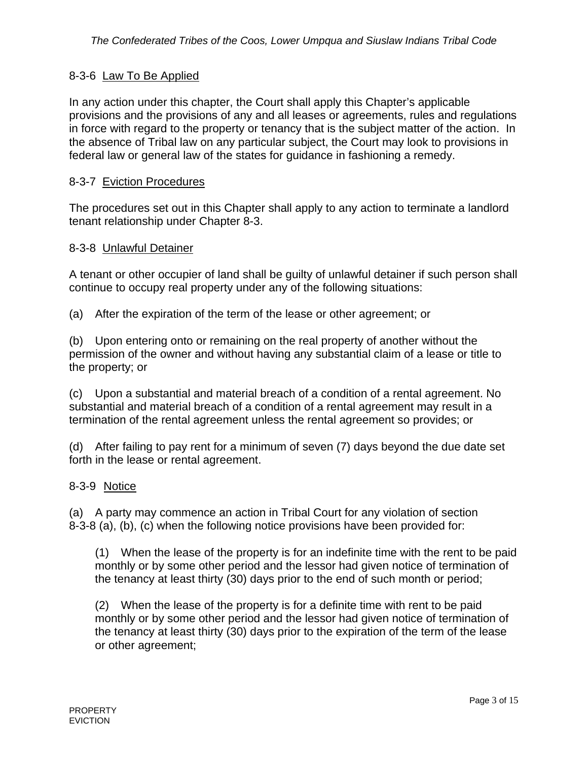## 8-3-6 Law To Be Applied

In any action under this chapter, the Court shall apply this Chapter's applicable provisions and the provisions of any and all leases or agreements, rules and regulations in force with regard to the property or tenancy that is the subject matter of the action. In the absence of Tribal law on any particular subject, the Court may look to provisions in federal law or general law of the states for guidance in fashioning a remedy.

### 8-3-7 Eviction Procedures

The procedures set out in this Chapter shall apply to any action to terminate a landlord tenant relationship under Chapter 8-3.

### 8-3-8 Unlawful Detainer

A tenant or other occupier of land shall be guilty of unlawful detainer if such person shall continue to occupy real property under any of the following situations:

(a) After the expiration of the term of the lease or other agreement; or

(b) Upon entering onto or remaining on the real property of another without the permission of the owner and without having any substantial claim of a lease or title to the property; or

(c) Upon a substantial and material breach of a condition of a rental agreement. No substantial and material breach of a condition of a rental agreement may result in a termination of the rental agreement unless the rental agreement so provides; or

(d) After failing to pay rent for a minimum of seven (7) days beyond the due date set forth in the lease or rental agreement.

### 8-3-9 Notice

(a) A party may commence an action in Tribal Court for any violation of section 8-3-8 (a), (b), (c) when the following notice provisions have been provided for:

(1) When the lease of the property is for an indefinite time with the rent to be paid monthly or by some other period and the lessor had given notice of termination of the tenancy at least thirty (30) days prior to the end of such month or period;

(2) When the lease of the property is for a definite time with rent to be paid monthly or by some other period and the lessor had given notice of termination of the tenancy at least thirty (30) days prior to the expiration of the term of the lease or other agreement;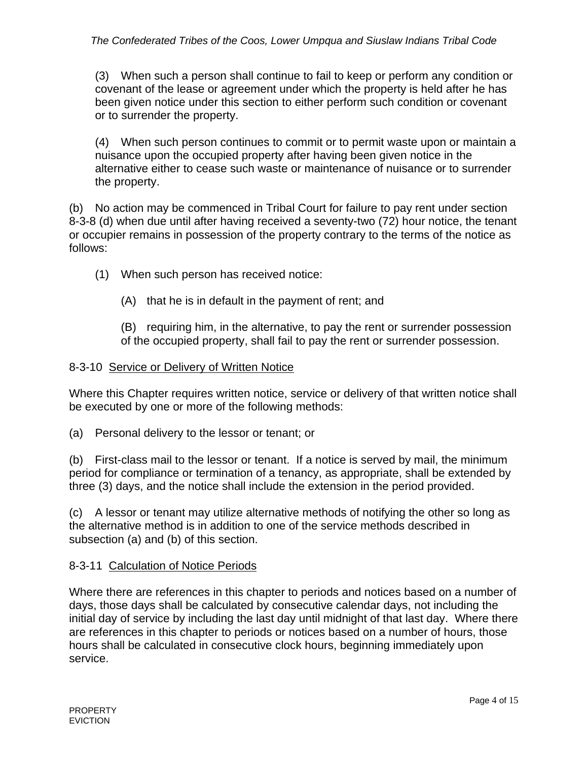(3) When such a person shall continue to fail to keep or perform any condition or covenant of the lease or agreement under which the property is held after he has been given notice under this section to either perform such condition or covenant or to surrender the property.

(4) When such person continues to commit or to permit waste upon or maintain a nuisance upon the occupied property after having been given notice in the alternative either to cease such waste or maintenance of nuisance or to surrender the property.

(b) No action may be commenced in Tribal Court for failure to pay rent under section 8-3-8 (d) when due until after having received a seventy-two (72) hour notice, the tenant or occupier remains in possession of the property contrary to the terms of the notice as follows:

(1) When such person has received notice:

(A) that he is in default in the payment of rent; and

(B) requiring him, in the alternative, to pay the rent or surrender possession of the occupied property, shall fail to pay the rent or surrender possession.

## 8-3-10 Service or Delivery of Written Notice

Where this Chapter requires written notice, service or delivery of that written notice shall be executed by one or more of the following methods:

(a) Personal delivery to the lessor or tenant; or

(b) First-class mail to the lessor or tenant. If a notice is served by mail, the minimum period for compliance or termination of a tenancy, as appropriate, shall be extended by three (3) days, and the notice shall include the extension in the period provided.

(c) A lessor or tenant may utilize alternative methods of notifying the other so long as the alternative method is in addition to one of the service methods described in subsection (a) and (b) of this section.

# 8-3-11 Calculation of Notice Periods

Where there are references in this chapter to periods and notices based on a number of days, those days shall be calculated by consecutive calendar days, not including the initial day of service by including the last day until midnight of that last day. Where there are references in this chapter to periods or notices based on a number of hours, those hours shall be calculated in consecutive clock hours, beginning immediately upon service.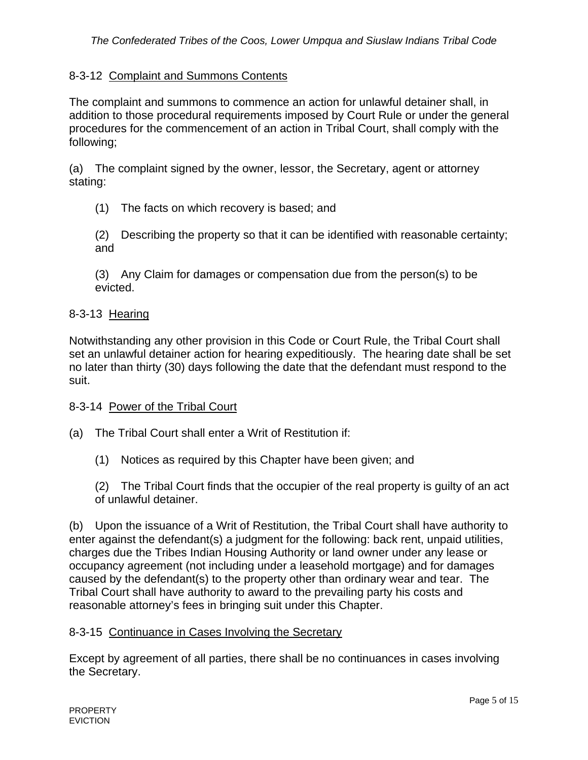### 8-3-12 Complaint and Summons Contents

The complaint and summons to commence an action for unlawful detainer shall, in addition to those procedural requirements imposed by Court Rule or under the general procedures for the commencement of an action in Tribal Court, shall comply with the following;

(a) The complaint signed by the owner, lessor, the Secretary, agent or attorney stating:

- (1) The facts on which recovery is based; and
- (2) Describing the property so that it can be identified with reasonable certainty; and

(3) Any Claim for damages or compensation due from the person(s) to be evicted.

#### 8-3-13 Hearing

Notwithstanding any other provision in this Code or Court Rule, the Tribal Court shall set an unlawful detainer action for hearing expeditiously. The hearing date shall be set no later than thirty (30) days following the date that the defendant must respond to the suit.

#### 8-3-14 Power of the Tribal Court

(a) The Tribal Court shall enter a Writ of Restitution if:

(1) Notices as required by this Chapter have been given; and

(2) The Tribal Court finds that the occupier of the real property is guilty of an act of unlawful detainer.

(b) Upon the issuance of a Writ of Restitution, the Tribal Court shall have authority to enter against the defendant(s) a judgment for the following: back rent, unpaid utilities, charges due the Tribes Indian Housing Authority or land owner under any lease or occupancy agreement (not including under a leasehold mortgage) and for damages caused by the defendant(s) to the property other than ordinary wear and tear. The Tribal Court shall have authority to award to the prevailing party his costs and reasonable attorney's fees in bringing suit under this Chapter.

#### 8-3-15 Continuance in Cases Involving the Secretary

Except by agreement of all parties, there shall be no continuances in cases involving the Secretary.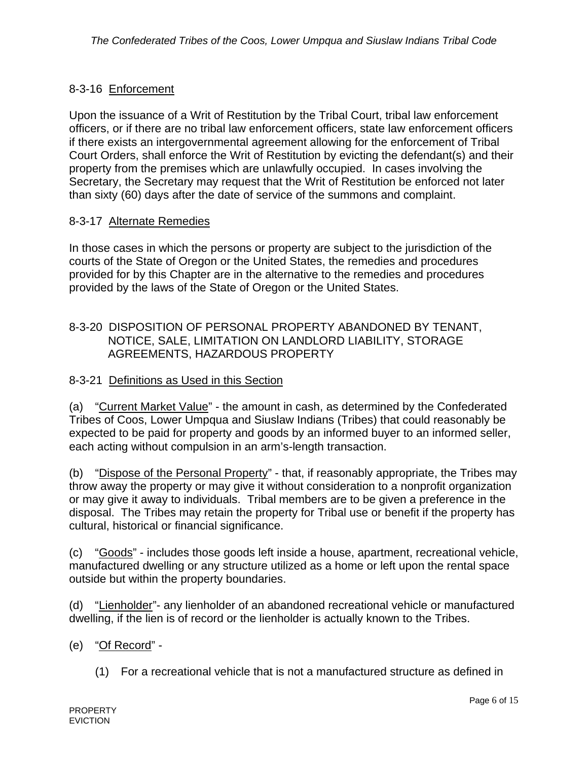## 8-3-16 Enforcement

Upon the issuance of a Writ of Restitution by the Tribal Court, tribal law enforcement officers, or if there are no tribal law enforcement officers, state law enforcement officers if there exists an intergovernmental agreement allowing for the enforcement of Tribal Court Orders, shall enforce the Writ of Restitution by evicting the defendant(s) and their property from the premises which are unlawfully occupied. In cases involving the Secretary, the Secretary may request that the Writ of Restitution be enforced not later than sixty (60) days after the date of service of the summons and complaint.

### 8-3-17 Alternate Remedies

In those cases in which the persons or property are subject to the jurisdiction of the courts of the State of Oregon or the United States, the remedies and procedures provided for by this Chapter are in the alternative to the remedies and procedures provided by the laws of the State of Oregon or the United States.

### 8-3-20 DISPOSITION OF PERSONAL PROPERTY ABANDONED BY TENANT, NOTICE, SALE, LIMITATION ON LANDLORD LIABILITY, STORAGE AGREEMENTS, HAZARDOUS PROPERTY

#### 8-3-21 Definitions as Used in this Section

(a) "Current Market Value" - the amount in cash, as determined by the Confederated Tribes of Coos, Lower Umpqua and Siuslaw Indians (Tribes) that could reasonably be expected to be paid for property and goods by an informed buyer to an informed seller, each acting without compulsion in an arm's-length transaction.

(b) "Dispose of the Personal Property" - that, if reasonably appropriate, the Tribes may throw away the property or may give it without consideration to a nonprofit organization or may give it away to individuals. Tribal members are to be given a preference in the disposal. The Tribes may retain the property for Tribal use or benefit if the property has cultural, historical or financial significance.

(c) "Goods" - includes those goods left inside a house, apartment, recreational vehicle, manufactured dwelling or any structure utilized as a home or left upon the rental space outside but within the property boundaries.

(d) "Lienholder"- any lienholder of an abandoned recreational vehicle or manufactured dwelling, if the lien is of record or the lienholder is actually known to the Tribes.

- (e) "Of Record"
	- (1) For a recreational vehicle that is not a manufactured structure as defined in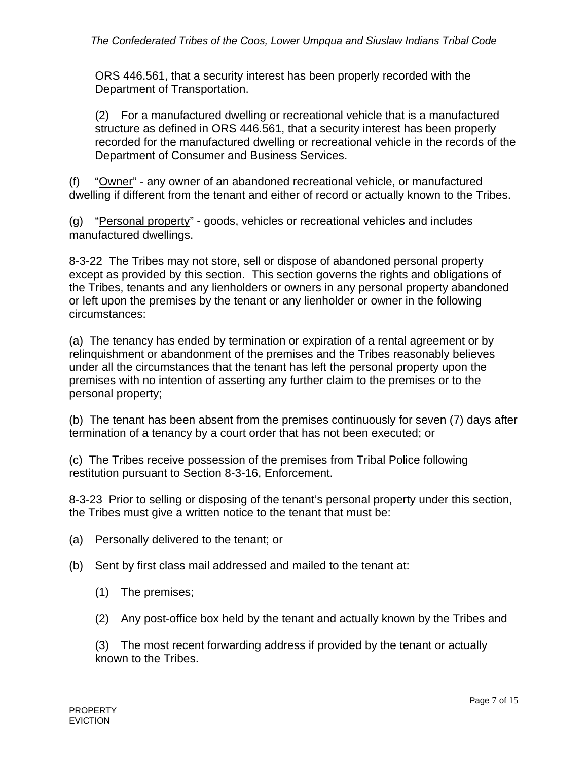ORS 446.561, that a security interest has been properly recorded with the Department of Transportation.

 (2) For a manufactured dwelling or recreational vehicle that is a manufactured structure as defined in ORS 446.561, that a security interest has been properly recorded for the manufactured dwelling or recreational vehicle in the records of the Department of Consumer and Business Services.

(f) "Owner" - any owner of an abandoned recreational vehicle, or manufactured dwelling if different from the tenant and either of record or actually known to the Tribes.

(g) "Personal property" - goods, vehicles or recreational vehicles and includes manufactured dwellings.

8-3-22 The Tribes may not store, sell or dispose of abandoned personal property except as provided by this section. This section governs the rights and obligations of the Tribes, tenants and any lienholders or owners in any personal property abandoned or left upon the premises by the tenant or any lienholder or owner in the following circumstances:

(a) The tenancy has ended by termination or expiration of a rental agreement or by relinquishment or abandonment of the premises and the Tribes reasonably believes under all the circumstances that the tenant has left the personal property upon the premises with no intention of asserting any further claim to the premises or to the personal property;

(b) The tenant has been absent from the premises continuously for seven (7) days after termination of a tenancy by a court order that has not been executed; or

(c) The Tribes receive possession of the premises from Tribal Police following restitution pursuant to Section 8-3-16, Enforcement.

8-3-23 Prior to selling or disposing of the tenant's personal property under this section, the Tribes must give a written notice to the tenant that must be:

- (a) Personally delivered to the tenant; or
- (b) Sent by first class mail addressed and mailed to the tenant at:
	- (1) The premises;
	- (2) Any post-office box held by the tenant and actually known by the Tribes and

 (3) The most recent forwarding address if provided by the tenant or actually known to the Tribes.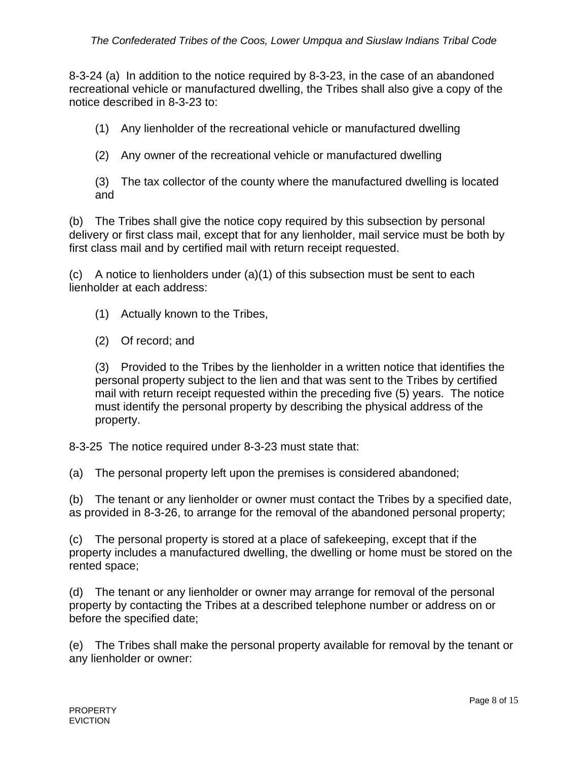8-3-24 (a) In addition to the notice required by 8-3-23, in the case of an abandoned recreational vehicle or manufactured dwelling, the Tribes shall also give a copy of the notice described in 8-3-23 to:

(1) Any lienholder of the recreational vehicle or manufactured dwelling

(2) Any owner of the recreational vehicle or manufactured dwelling

 (3) The tax collector of the county where the manufactured dwelling is located and

(b) The Tribes shall give the notice copy required by this subsection by personal delivery or first class mail, except that for any lienholder, mail service must be both by first class mail and by certified mail with return receipt requested.

(c) A notice to lienholders under (a)(1) of this subsection must be sent to each lienholder at each address:

- (1) Actually known to the Tribes,
- (2) Of record; and

 (3) Provided to the Tribes by the lienholder in a written notice that identifies the personal property subject to the lien and that was sent to the Tribes by certified mail with return receipt requested within the preceding five (5) years. The notice must identify the personal property by describing the physical address of the property.

8-3-25 The notice required under 8-3-23 must state that:

(a) The personal property left upon the premises is considered abandoned;

(b) The tenant or any lienholder or owner must contact the Tribes by a specified date, as provided in 8-3-26, to arrange for the removal of the abandoned personal property;

(c) The personal property is stored at a place of safekeeping, except that if the property includes a manufactured dwelling, the dwelling or home must be stored on the rented space;

(d) The tenant or any lienholder or owner may arrange for removal of the personal property by contacting the Tribes at a described telephone number or address on or before the specified date;

(e) The Tribes shall make the personal property available for removal by the tenant or any lienholder or owner: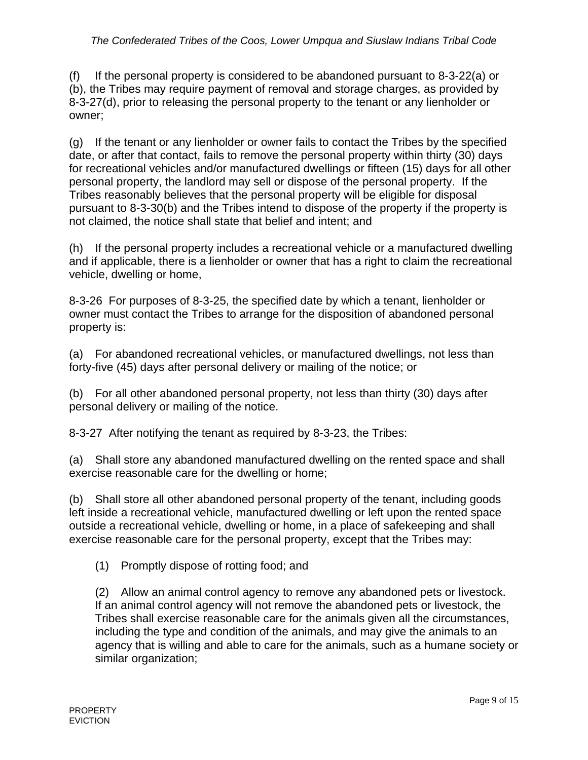(f) If the personal property is considered to be abandoned pursuant to  $8-3-22(a)$  or (b), the Tribes may require payment of removal and storage charges, as provided by 8-3-27(d), prior to releasing the personal property to the tenant or any lienholder or owner;

(g) If the tenant or any lienholder or owner fails to contact the Tribes by the specified date, or after that contact, fails to remove the personal property within thirty (30) days for recreational vehicles and/or manufactured dwellings or fifteen (15) days for all other personal property, the landlord may sell or dispose of the personal property. If the Tribes reasonably believes that the personal property will be eligible for disposal pursuant to 8-3-30(b) and the Tribes intend to dispose of the property if the property is not claimed, the notice shall state that belief and intent; and

(h) If the personal property includes a recreational vehicle or a manufactured dwelling and if applicable, there is a lienholder or owner that has a right to claim the recreational vehicle, dwelling or home,

8-3-26 For purposes of 8-3-25, the specified date by which a tenant, lienholder or owner must contact the Tribes to arrange for the disposition of abandoned personal property is:

(a) For abandoned recreational vehicles, or manufactured dwellings, not less than forty-five (45) days after personal delivery or mailing of the notice; or

(b) For all other abandoned personal property, not less than thirty (30) days after personal delivery or mailing of the notice.

8-3-27 After notifying the tenant as required by 8-3-23, the Tribes:

(a) Shall store any abandoned manufactured dwelling on the rented space and shall exercise reasonable care for the dwelling or home;

(b) Shall store all other abandoned personal property of the tenant, including goods left inside a recreational vehicle, manufactured dwelling or left upon the rented space outside a recreational vehicle, dwelling or home, in a place of safekeeping and shall exercise reasonable care for the personal property, except that the Tribes may:

(1) Promptly dispose of rotting food; and

 (2) Allow an animal control agency to remove any abandoned pets or livestock. If an animal control agency will not remove the abandoned pets or livestock, the Tribes shall exercise reasonable care for the animals given all the circumstances, including the type and condition of the animals, and may give the animals to an agency that is willing and able to care for the animals, such as a humane society or similar organization;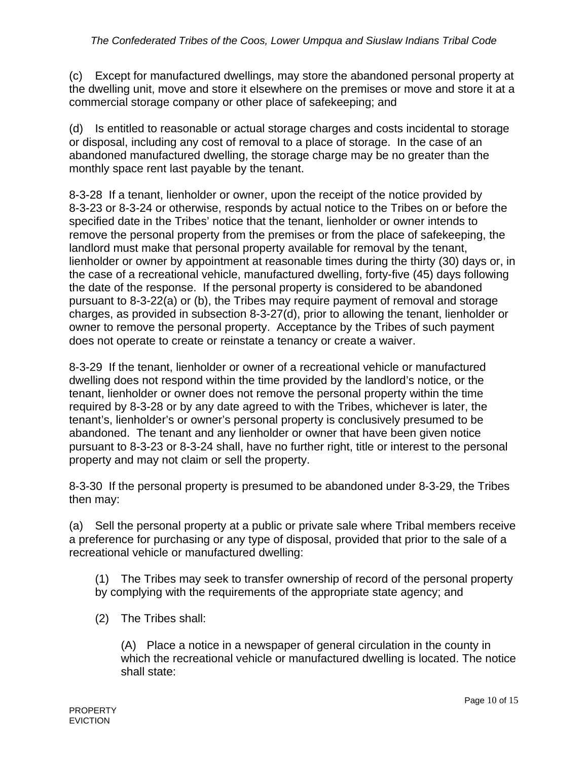(c) Except for manufactured dwellings, may store the abandoned personal property at the dwelling unit, move and store it elsewhere on the premises or move and store it at a commercial storage company or other place of safekeeping; and

(d) Is entitled to reasonable or actual storage charges and costs incidental to storage or disposal, including any cost of removal to a place of storage. In the case of an abandoned manufactured dwelling, the storage charge may be no greater than the monthly space rent last payable by the tenant.

8-3-28 If a tenant, lienholder or owner, upon the receipt of the notice provided by 8-3-23 or 8-3-24 or otherwise, responds by actual notice to the Tribes on or before the specified date in the Tribes' notice that the tenant, lienholder or owner intends to remove the personal property from the premises or from the place of safekeeping, the landlord must make that personal property available for removal by the tenant, lienholder or owner by appointment at reasonable times during the thirty (30) days or, in the case of a recreational vehicle, manufactured dwelling, forty-five (45) days following the date of the response. If the personal property is considered to be abandoned pursuant to 8-3-22(a) or (b), the Tribes may require payment of removal and storage charges, as provided in subsection 8-3-27(d), prior to allowing the tenant, lienholder or owner to remove the personal property. Acceptance by the Tribes of such payment does not operate to create or reinstate a tenancy or create a waiver.

8-3-29 If the tenant, lienholder or owner of a recreational vehicle or manufactured dwelling does not respond within the time provided by the landlord's notice, or the tenant, lienholder or owner does not remove the personal property within the time required by 8-3-28 or by any date agreed to with the Tribes, whichever is later, the tenant's, lienholder's or owner's personal property is conclusively presumed to be abandoned. The tenant and any lienholder or owner that have been given notice pursuant to 8-3-23 or 8-3-24 shall, have no further right, title or interest to the personal property and may not claim or sell the property.

8-3-30 If the personal property is presumed to be abandoned under 8-3-29, the Tribes then may:

(a) Sell the personal property at a public or private sale where Tribal members receive a preference for purchasing or any type of disposal, provided that prior to the sale of a recreational vehicle or manufactured dwelling:

 (1) The Tribes may seek to transfer ownership of record of the personal property by complying with the requirements of the appropriate state agency; and

(2) The Tribes shall:

 (A) Place a notice in a newspaper of general circulation in the county in which the recreational vehicle or manufactured dwelling is located. The notice shall state: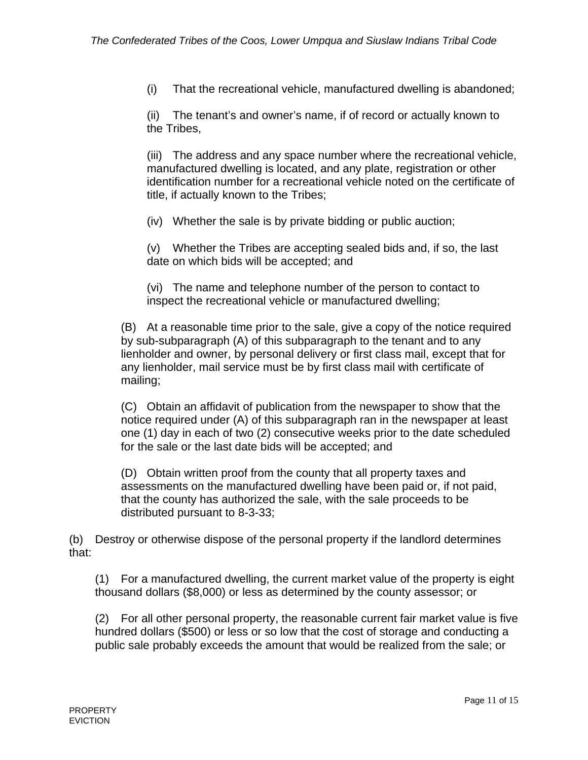(i) That the recreational vehicle, manufactured dwelling is abandoned;

 (ii) The tenant's and owner's name, if of record or actually known to the Tribes,

 (iii) The address and any space number where the recreational vehicle, manufactured dwelling is located, and any plate, registration or other identification number for a recreational vehicle noted on the certificate of title, if actually known to the Tribes;

(iv) Whether the sale is by private bidding or public auction;

 (v) Whether the Tribes are accepting sealed bids and, if so, the last date on which bids will be accepted; and

 (vi) The name and telephone number of the person to contact to inspect the recreational vehicle or manufactured dwelling;

(B) At a reasonable time prior to the sale, give a copy of the notice required by sub-subparagraph (A) of this subparagraph to the tenant and to any lienholder and owner, by personal delivery or first class mail, except that for any lienholder, mail service must be by first class mail with certificate of mailing;

 (C) Obtain an affidavit of publication from the newspaper to show that the notice required under (A) of this subparagraph ran in the newspaper at least one (1) day in each of two (2) consecutive weeks prior to the date scheduled for the sale or the last date bids will be accepted; and

(D) Obtain written proof from the county that all property taxes and assessments on the manufactured dwelling have been paid or, if not paid, that the county has authorized the sale, with the sale proceeds to be distributed pursuant to 8-3-33;

(b) Destroy or otherwise dispose of the personal property if the landlord determines that:

 (1) For a manufactured dwelling, the current market value of the property is eight thousand dollars (\$8,000) or less as determined by the county assessor; or

 (2) For all other personal property, the reasonable current fair market value is five hundred dollars (\$500) or less or so low that the cost of storage and conducting a public sale probably exceeds the amount that would be realized from the sale; or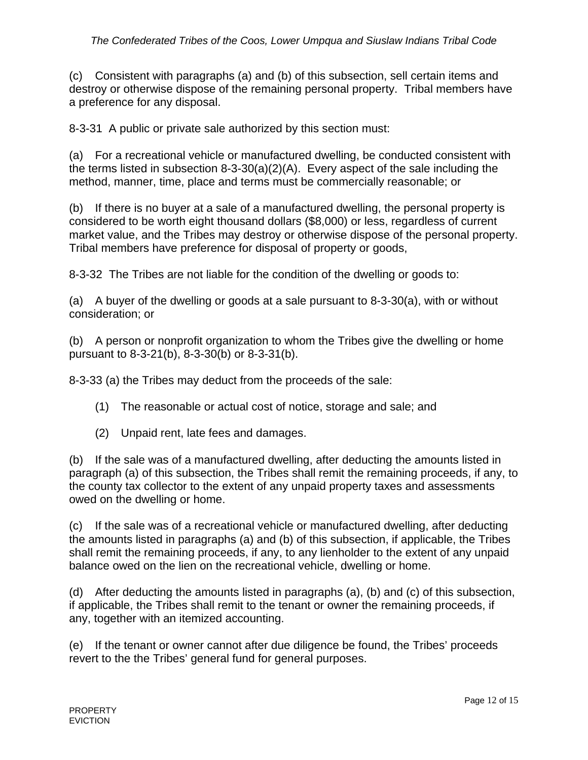(c) Consistent with paragraphs (a) and (b) of this subsection, sell certain items and destroy or otherwise dispose of the remaining personal property. Tribal members have a preference for any disposal.

8-3-31 A public or private sale authorized by this section must:

(a) For a recreational vehicle or manufactured dwelling, be conducted consistent with the terms listed in subsection 8-3-30(a)(2)(A). Every aspect of the sale including the method, manner, time, place and terms must be commercially reasonable; or

(b) If there is no buyer at a sale of a manufactured dwelling, the personal property is considered to be worth eight thousand dollars (\$8,000) or less, regardless of current market value, and the Tribes may destroy or otherwise dispose of the personal property. Tribal members have preference for disposal of property or goods,

8-3-32 The Tribes are not liable for the condition of the dwelling or goods to:

(a) A buyer of the dwelling or goods at a sale pursuant to 8-3-30(a), with or without consideration; or

(b) A person or nonprofit organization to whom the Tribes give the dwelling or home pursuant to 8-3-21(b), 8-3-30(b) or 8-3-31(b).

8-3-33 (a) the Tribes may deduct from the proceeds of the sale:

- (1) The reasonable or actual cost of notice, storage and sale; and
- (2) Unpaid rent, late fees and damages.

(b) If the sale was of a manufactured dwelling, after deducting the amounts listed in paragraph (a) of this subsection, the Tribes shall remit the remaining proceeds, if any, to the county tax collector to the extent of any unpaid property taxes and assessments owed on the dwelling or home.

(c) If the sale was of a recreational vehicle or manufactured dwelling, after deducting the amounts listed in paragraphs (a) and (b) of this subsection, if applicable, the Tribes shall remit the remaining proceeds, if any, to any lienholder to the extent of any unpaid balance owed on the lien on the recreational vehicle, dwelling or home.

(d) After deducting the amounts listed in paragraphs (a), (b) and (c) of this subsection, if applicable, the Tribes shall remit to the tenant or owner the remaining proceeds, if any, together with an itemized accounting.

(e) If the tenant or owner cannot after due diligence be found, the Tribes' proceeds revert to the the Tribes' general fund for general purposes.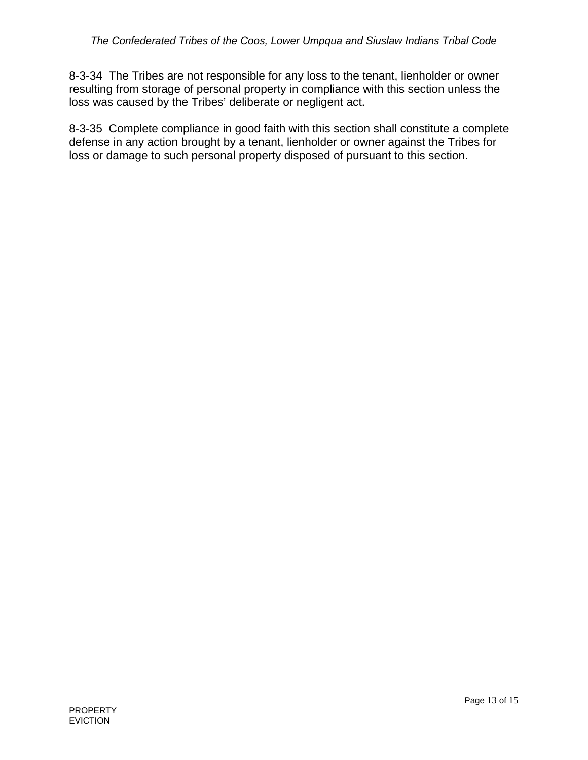8-3-34 The Tribes are not responsible for any loss to the tenant, lienholder or owner resulting from storage of personal property in compliance with this section unless the loss was caused by the Tribes' deliberate or negligent act.

8-3-35 Complete compliance in good faith with this section shall constitute a complete defense in any action brought by a tenant, lienholder or owner against the Tribes for loss or damage to such personal property disposed of pursuant to this section.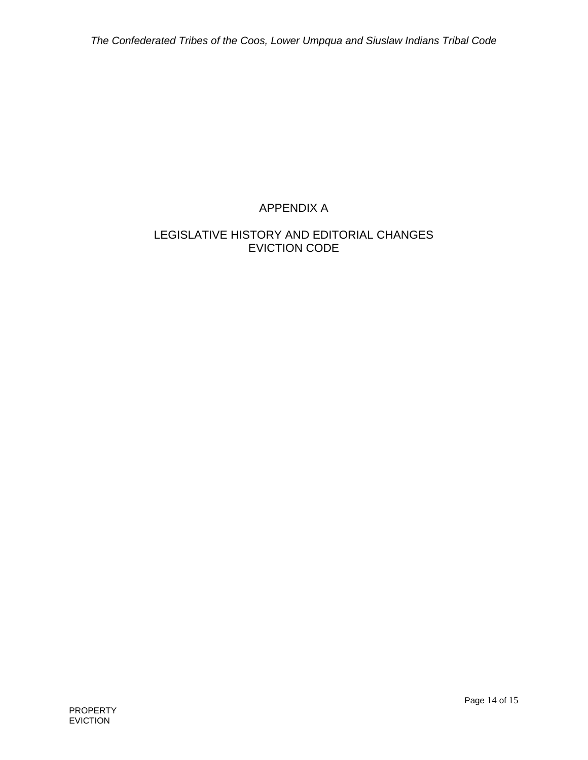# APPENDIX A

## LEGISLATIVE HISTORY AND EDITORIAL CHANGES EVICTION CODE